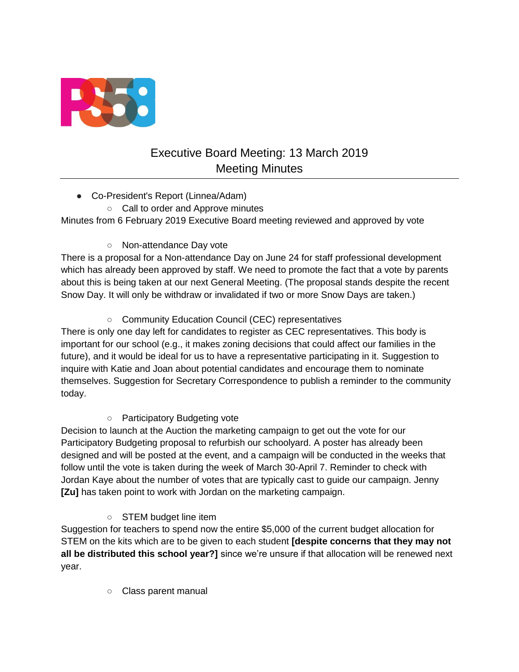

# Executive Board Meeting: 13 March 2019 Meeting Minutes

- Co-President's Report (Linnea/Adam)
	- Call to order and Approve minutes

Minutes from 6 February 2019 Executive Board meeting reviewed and approved by vote

○ Non-attendance Day vote

There is a proposal for a Non-attendance Day on June 24 for staff professional development which has already been approved by staff. We need to promote the fact that a vote by parents about this is being taken at our next General Meeting. (The proposal stands despite the recent Snow Day. It will only be withdraw or invalidated if two or more Snow Days are taken.)

○ Community Education Council (CEC) representatives

There is only one day left for candidates to register as CEC representatives. This body is important for our school (e.g., it makes zoning decisions that could affect our families in the future), and it would be ideal for us to have a representative participating in it. Suggestion to inquire with Katie and Joan about potential candidates and encourage them to nominate themselves. Suggestion for Secretary Correspondence to publish a reminder to the community today.

○ Participatory Budgeting vote

Decision to launch at the Auction the marketing campaign to get out the vote for our Participatory Budgeting proposal to refurbish our schoolyard. A poster has already been designed and will be posted at the event, and a campaign will be conducted in the weeks that follow until the vote is taken during the week of March 30-April 7. Reminder to check with Jordan Kaye about the number of votes that are typically cast to guide our campaign. Jenny **[Zu]** has taken point to work with Jordan on the marketing campaign.

○ STEM budget line item

Suggestion for teachers to spend now the entire \$5,000 of the current budget allocation for STEM on the kits which are to be given to each student **[despite concerns that they may not all be distributed this school year?]** since we're unsure if that allocation will be renewed next year.

○ Class parent manual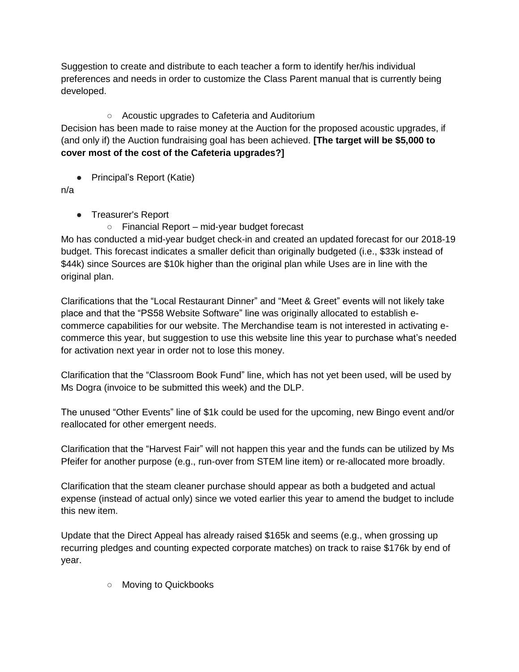Suggestion to create and distribute to each teacher a form to identify her/his individual preferences and needs in order to customize the Class Parent manual that is currently being developed.

# ○ Acoustic upgrades to Cafeteria and Auditorium

Decision has been made to raise money at the Auction for the proposed acoustic upgrades, if (and only if) the Auction fundraising goal has been achieved. **[The target will be \$5,000 to cover most of the cost of the Cafeteria upgrades?]**

● Principal's Report (Katie)

n/a

- Treasurer's Report
	- Financial Report mid-year budget forecast

Mo has conducted a mid-year budget check-in and created an updated forecast for our 2018-19 budget. This forecast indicates a smaller deficit than originally budgeted (i.e., \$33k instead of \$44k) since Sources are \$10k higher than the original plan while Uses are in line with the original plan.

Clarifications that the "Local Restaurant Dinner" and "Meet & Greet" events will not likely take place and that the "PS58 Website Software" line was originally allocated to establish ecommerce capabilities for our website. The Merchandise team is not interested in activating ecommerce this year, but suggestion to use this website line this year to purchase what's needed for activation next year in order not to lose this money.

Clarification that the "Classroom Book Fund" line, which has not yet been used, will be used by Ms Dogra (invoice to be submitted this week) and the DLP.

The unused "Other Events" line of \$1k could be used for the upcoming, new Bingo event and/or reallocated for other emergent needs.

Clarification that the "Harvest Fair" will not happen this year and the funds can be utilized by Ms Pfeifer for another purpose (e.g., run-over from STEM line item) or re-allocated more broadly.

Clarification that the steam cleaner purchase should appear as both a budgeted and actual expense (instead of actual only) since we voted earlier this year to amend the budget to include this new item.

Update that the Direct Appeal has already raised \$165k and seems (e.g., when grossing up recurring pledges and counting expected corporate matches) on track to raise \$176k by end of year.

○ Moving to Quickbooks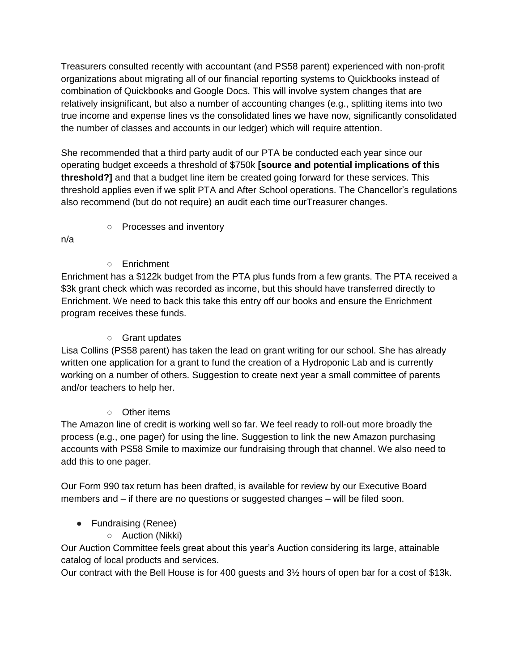Treasurers consulted recently with accountant (and PS58 parent) experienced with non-profit organizations about migrating all of our financial reporting systems to Quickbooks instead of combination of Quickbooks and Google Docs. This will involve system changes that are relatively insignificant, but also a number of accounting changes (e.g., splitting items into two true income and expense lines vs the consolidated lines we have now, significantly consolidated the number of classes and accounts in our ledger) which will require attention.

She recommended that a third party audit of our PTA be conducted each year since our operating budget exceeds a threshold of \$750k **[source and potential implications of this threshold?]** and that a budget line item be created going forward for these services. This threshold applies even if we split PTA and After School operations. The Chancellor's regulations also recommend (but do not require) an audit each time ourTreasurer changes.

○ Processes and inventory

n/a

○ Enrichment

Enrichment has a \$122k budget from the PTA plus funds from a few grants. The PTA received a \$3k grant check which was recorded as income, but this should have transferred directly to Enrichment. We need to back this take this entry off our books and ensure the Enrichment program receives these funds.

#### ○ Grant updates

Lisa Collins (PS58 parent) has taken the lead on grant writing for our school. She has already written one application for a grant to fund the creation of a Hydroponic Lab and is currently working on a number of others. Suggestion to create next year a small committee of parents and/or teachers to help her.

## ○ Other items

The Amazon line of credit is working well so far. We feel ready to roll-out more broadly the process (e.g., one pager) for using the line. Suggestion to link the new Amazon purchasing accounts with PS58 Smile to maximize our fundraising through that channel. We also need to add this to one pager.

Our Form 990 tax return has been drafted, is available for review by our Executive Board members and – if there are no questions or suggested changes – will be filed soon.

## ● Fundraising (Renee)

○ Auction (Nikki)

Our Auction Committee feels great about this year's Auction considering its large, attainable catalog of local products and services.

Our contract with the Bell House is for 400 guests and 3½ hours of open bar for a cost of \$13k.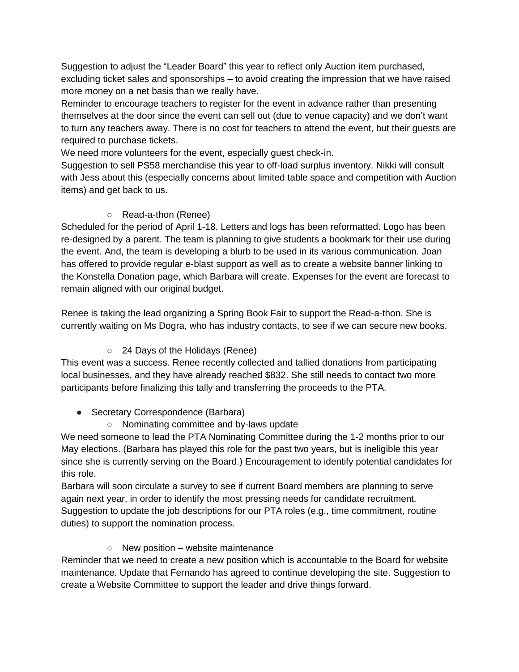Suggestion to adjust the "Leader Board" this year to reflect only Auction item purchased, excluding ticket sales and sponsorships – to avoid creating the impression that we have raised more money on a net basis than we really have.

Reminder to encourage teachers to register for the event in advance rather than presenting themselves at the door since the event can sell out (due to venue capacity) and we don't want to turn any teachers away. There is no cost for teachers to attend the event, but their guests are required to purchase tickets.

We need more volunteers for the event, especially guest check-in.

Suggestion to sell PS58 merchandise this year to off-load surplus inventory. Nikki will consult with Jess about this (especially concerns about limited table space and competition with Auction items) and get back to us.

#### ○ Read-a-thon (Renee)

Scheduled for the period of April 1-18. Letters and logs has been reformatted. Logo has been re-designed by a parent. The team is planning to give students a bookmark for their use during the event. And, the team is developing a blurb to be used in its various communication. Joan has offered to provide regular e-blast support as well as to create a website banner linking to the Konstella Donation page, which Barbara will create. Expenses for the event are forecast to remain aligned with our original budget.

Renee is taking the lead organizing a Spring Book Fair to support the Read-a-thon. She is currently waiting on Ms Dogra, who has industry contacts, to see if we can secure new books.

## ○ 24 Days of the Holidays (Renee)

This event was a success. Renee recently collected and tallied donations from participating local businesses, and they have already reached \$832. She still needs to contact two more participants before finalizing this tally and transferring the proceeds to the PTA.

## • Secretary Correspondence (Barbara)

○ Nominating committee and by-laws update

We need someone to lead the PTA Nominating Committee during the 1-2 months prior to our May elections. (Barbara has played this role for the past two years, but is ineligible this year since she is currently serving on the Board.) Encouragement to identify potential candidates for this role.

Barbara will soon circulate a survey to see if current Board members are planning to serve again next year, in order to identify the most pressing needs for candidate recruitment. Suggestion to update the job descriptions for our PTA roles (e.g., time commitment, routine duties) to support the nomination process.

#### $\circ$  New position – website maintenance

Reminder that we need to create a new position which is accountable to the Board for website maintenance. Update that Fernando has agreed to continue developing the site. Suggestion to create a Website Committee to support the leader and drive things forward.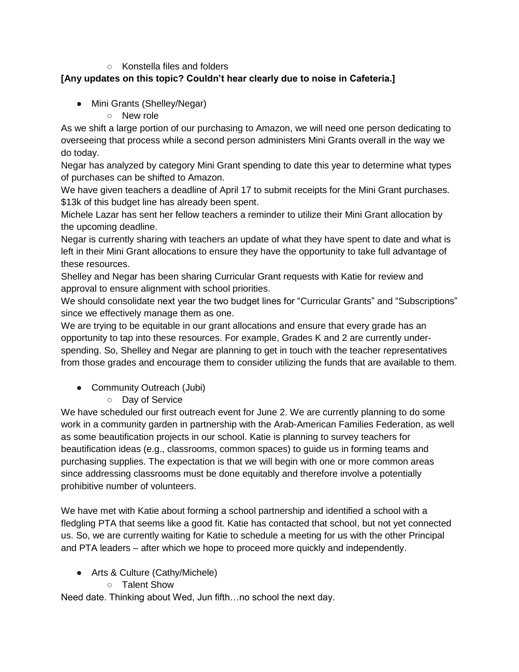#### ○ Konstella files and folders

# **[Any updates on this topic? Couldn't hear clearly due to noise in Cafeteria.]**

- Mini Grants (Shelley/Negar)
	- New role

As we shift a large portion of our purchasing to Amazon, we will need one person dedicating to overseeing that process while a second person administers Mini Grants overall in the way we do today.

Negar has analyzed by category Mini Grant spending to date this year to determine what types of purchases can be shifted to Amazon.

We have given teachers a deadline of April 17 to submit receipts for the Mini Grant purchases. \$13k of this budget line has already been spent.

Michele Lazar has sent her fellow teachers a reminder to utilize their Mini Grant allocation by the upcoming deadline.

Negar is currently sharing with teachers an update of what they have spent to date and what is left in their Mini Grant allocations to ensure they have the opportunity to take full advantage of these resources.

Shelley and Negar has been sharing Curricular Grant requests with Katie for review and approval to ensure alignment with school priorities.

We should consolidate next year the two budget lines for "Curricular Grants" and "Subscriptions" since we effectively manage them as one.

We are trying to be equitable in our grant allocations and ensure that every grade has an opportunity to tap into these resources. For example, Grades K and 2 are currently underspending. So, Shelley and Negar are planning to get in touch with the teacher representatives from those grades and encourage them to consider utilizing the funds that are available to them.

- Community Outreach (Jubi)
	- Day of Service

We have scheduled our first outreach event for June 2. We are currently planning to do some work in a community garden in partnership with the Arab-American Families Federation, as well as some beautification projects in our school. Katie is planning to survey teachers for beautification ideas (e.g., classrooms, common spaces) to guide us in forming teams and purchasing supplies. The expectation is that we will begin with one or more common areas since addressing classrooms must be done equitably and therefore involve a potentially prohibitive number of volunteers.

We have met with Katie about forming a school partnership and identified a school with a fledgling PTA that seems like a good fit. Katie has contacted that school, but not yet connected us. So, we are currently waiting for Katie to schedule a meeting for us with the other Principal and PTA leaders – after which we hope to proceed more quickly and independently.

- Arts & Culture (Cathy/Michele)
	- Talent Show

Need date. Thinking about Wed, Jun fifth…no school the next day.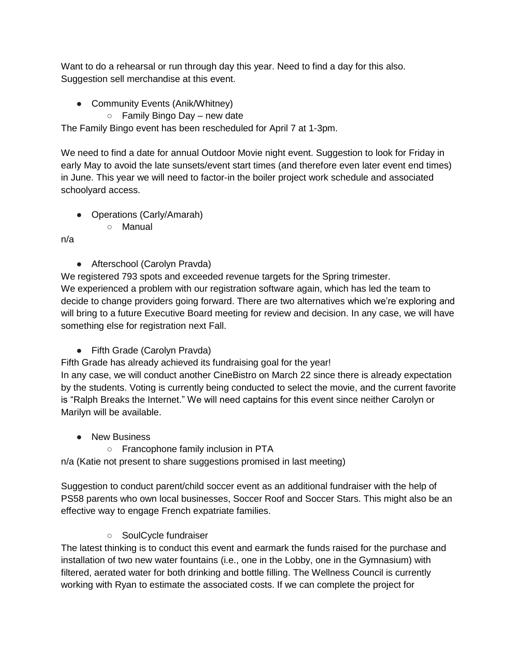Want to do a rehearsal or run through day this year. Need to find a day for this also. Suggestion sell merchandise at this event.

- Community Events (Anik/Whitney)
	- $\circ$  Family Bingo Day new date

The Family Bingo event has been rescheduled for April 7 at 1-3pm.

We need to find a date for annual Outdoor Movie night event. Suggestion to look for Friday in early May to avoid the late sunsets/event start times (and therefore even later event end times) in June. This year we will need to factor-in the boiler project work schedule and associated schoolyard access.

- Operations (Carly/Amarah)
	- Manual

n/a

● Afterschool (Carolyn Pravda)

We registered 793 spots and exceeded revenue targets for the Spring trimester. We experienced a problem with our registration software again, which has led the team to decide to change providers going forward. There are two alternatives which we're exploring and will bring to a future Executive Board meeting for review and decision. In any case, we will have something else for registration next Fall.

● Fifth Grade (Carolyn Pravda)

Fifth Grade has already achieved its fundraising goal for the year!

In any case, we will conduct another CineBistro on March 22 since there is already expectation by the students. Voting is currently being conducted to select the movie, and the current favorite is "Ralph Breaks the Internet." We will need captains for this event since neither Carolyn or Marilyn will be available.

- New Business
	- Francophone family inclusion in PTA

n/a (Katie not present to share suggestions promised in last meeting)

Suggestion to conduct parent/child soccer event as an additional fundraiser with the help of PS58 parents who own local businesses, Soccer Roof and Soccer Stars. This might also be an effective way to engage French expatriate families.

○ SoulCycle fundraiser

The latest thinking is to conduct this event and earmark the funds raised for the purchase and installation of two new water fountains (i.e., one in the Lobby, one in the Gymnasium) with filtered, aerated water for both drinking and bottle filling. The Wellness Council is currently working with Ryan to estimate the associated costs. If we can complete the project for